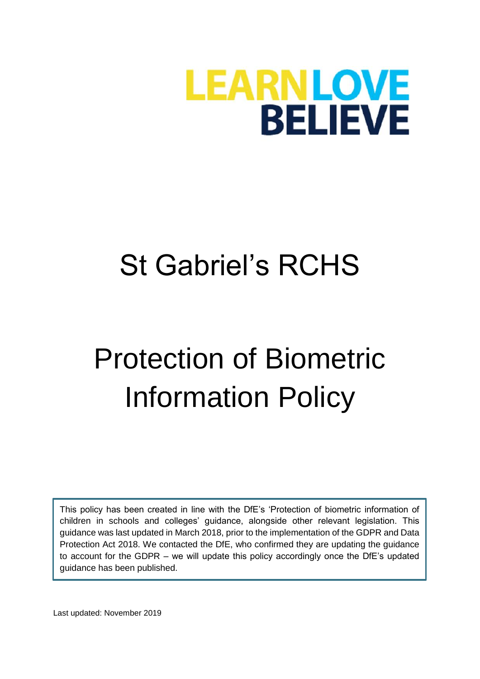

## St Gabriel's RCHS

# Protection of Biometric Information Policy

This policy has been created in line with the DfE's 'Protection of biometric information of children in schools and colleges' guidance, alongside other relevant legislation. This guidance was last updated in March 2018, prior to the implementation of the GDPR and Data Protection Act 2018. We contacted the DfE, who confirmed they are updating the guidance to account for the GDPR – we will update this policy accordingly once the DfE's updated guidance has been published.

Last updated: November 2019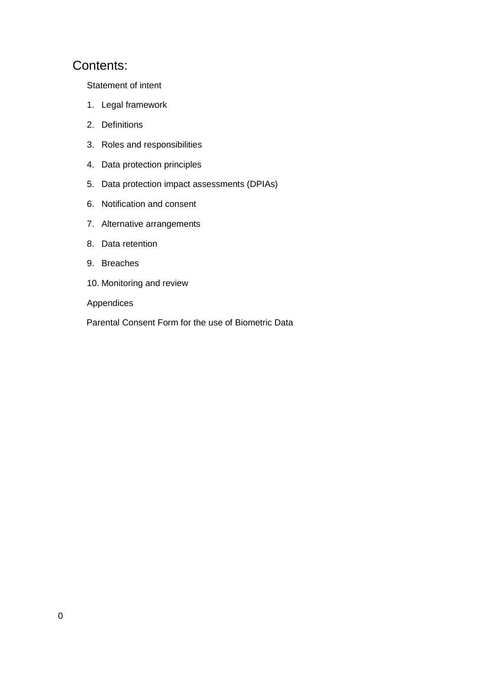#### Contents:

[Statement of intent](#page-2-0)

- 1. [Legal framework](#page-3-0)
- 2. [Definitions](#page-3-1)
- 3. [Roles and responsibilities](#page-4-0)
- 4. [Data protection principles](#page-4-1)
- 5. [Data protection impact assessments \(DPIAs\)](#page-4-2)
- 6. [Notification and consent](#page-5-0)
- 7. [Alternative arrangements](#page-7-0)
- 8. [Data retention](#page-7-1)
- 9. [Breaches](#page-8-0)
- 10. [Monitoring and review](#page-8-1)

Appendices

[Parental Consent Form for the use of Biometric Data](#page-9-0)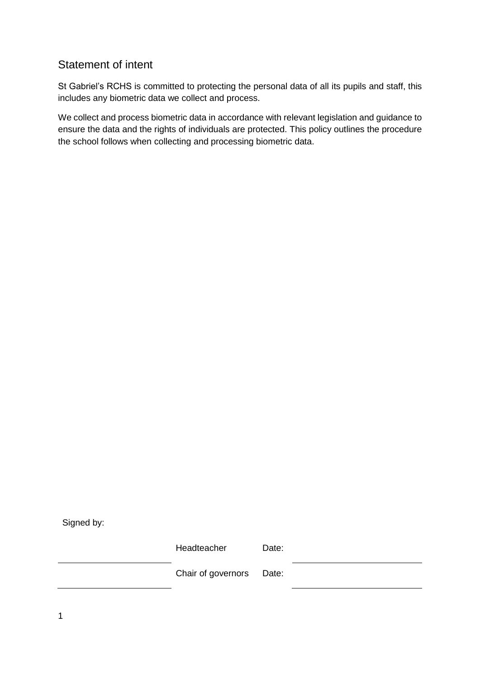#### <span id="page-2-0"></span>Statement of intent

St Gabriel's RCHS is committed to protecting the personal data of all its pupils and staff, this includes any biometric data we collect and process.

We collect and process biometric data in accordance with relevant legislation and guidance to ensure the data and the rights of individuals are protected. This policy outlines the procedure the school follows when collecting and processing biometric data.

Signed by:

Headteacher Date:

Chair of governors Date:

1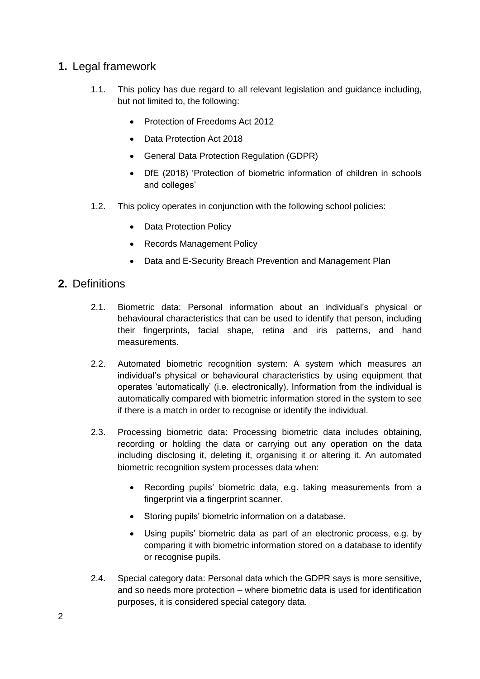#### <span id="page-3-0"></span>**1.** Legal framework

- 1.1. This policy has due regard to all relevant legislation and guidance including, but not limited to, the following:
	- Protection of Freedoms Act 2012
	- Data Protection Act 2018
	- General Data Protection Regulation (GDPR)
	- DfE (2018) 'Protection of biometric information of children in schools and colleges'
- 1.2. This policy operates in conjunction with the following school policies:
	- Data Protection Policy
	- Records Management Policy
	- Data and E-Security Breach Prevention and Management Plan

#### <span id="page-3-1"></span>**2.** Definitions

- 2.1. Biometric data: Personal information about an individual's physical or behavioural characteristics that can be used to identify that person, including their fingerprints, facial shape, retina and iris patterns, and hand measurements.
- 2.2. Automated biometric recognition system: A system which measures an individual's physical or behavioural characteristics by using equipment that operates 'automatically' (i.e. electronically). Information from the individual is automatically compared with biometric information stored in the system to see if there is a match in order to recognise or identify the individual.
- 2.3. Processing biometric data: Processing biometric data includes obtaining, recording or holding the data or carrying out any operation on the data including disclosing it, deleting it, organising it or altering it. An automated biometric recognition system processes data when:
	- Recording pupils' biometric data, e.g. taking measurements from a fingerprint via a fingerprint scanner.
	- Storing pupils' biometric information on a database.
	- Using pupils' biometric data as part of an electronic process, e.g. by comparing it with biometric information stored on a database to identify or recognise pupils.
- 2.4. Special category data: Personal data which the GDPR says is more sensitive, and so needs more protection – where biometric data is used for identification purposes, it is considered special category data.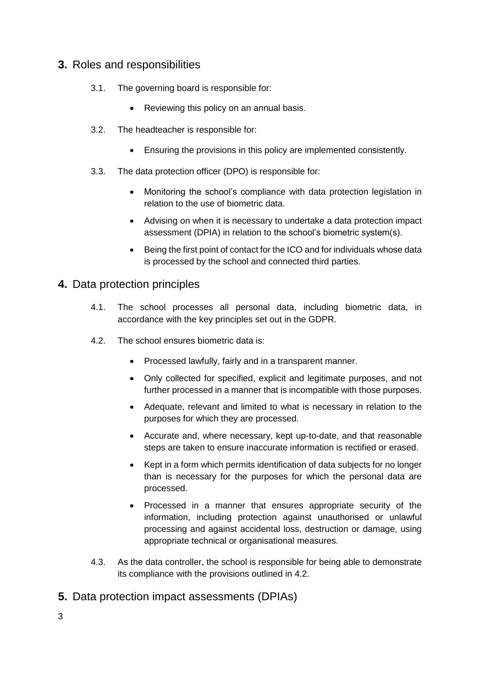#### <span id="page-4-0"></span>**3.** Roles and responsibilities

- 3.1. The governing board is responsible for:
	- Reviewing this policy on an annual basis.
- 3.2. The headteacher is responsible for:
	- Ensuring the provisions in this policy are implemented consistently.
- 3.3. The data protection officer (DPO) is responsible for:
	- Monitoring the school's compliance with data protection legislation in relation to the use of biometric data.
	- Advising on when it is necessary to undertake a data protection impact assessment (DPIA) in relation to the school's biometric system(s).
	- Being the first point of contact for the ICO and for individuals whose data is processed by the school and connected third parties.

#### <span id="page-4-1"></span>**4.** Data protection principles

- 4.1. The school processes all personal data, including biometric data, in accordance with the key principles set out in the GDPR.
- 4.2. The school ensures biometric data is:
	- Processed lawfully, fairly and in a transparent manner.
	- Only collected for specified, explicit and legitimate purposes, and not further processed in a manner that is incompatible with those purposes.
	- Adequate, relevant and limited to what is necessary in relation to the purposes for which they are processed.
	- Accurate and, where necessary, kept up-to-date, and that reasonable steps are taken to ensure inaccurate information is rectified or erased.
	- Kept in a form which permits identification of data subjects for no longer than is necessary for the purposes for which the personal data are processed.
	- Processed in a manner that ensures appropriate security of the information, including protection against unauthorised or unlawful processing and against accidental loss, destruction or damage, using appropriate technical or organisational measures.
- 4.3. As the data controller, the school is responsible for being able to demonstrate its compliance with the provisions outlined in 4.2.

<span id="page-4-2"></span>**5.** Data protection impact assessments (DPIAs)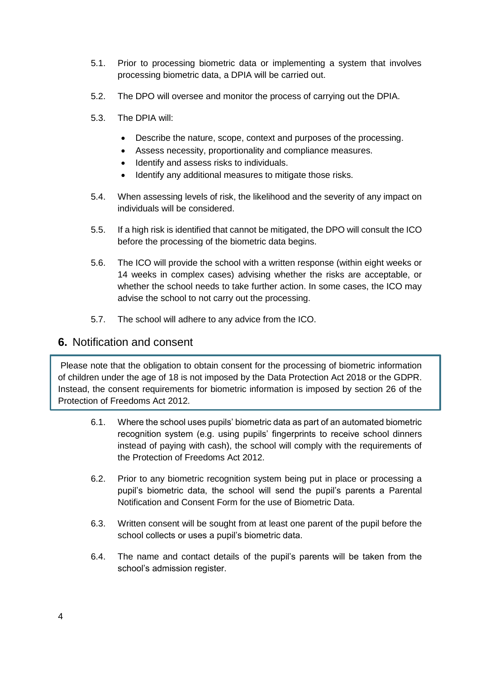- <span id="page-5-0"></span>5.1. Prior to processing biometric data or implementing a system that involves processing biometric data, a DPIA will be carried out.
- 5.2. The DPO will oversee and monitor the process of carrying out the DPIA.
- 5.3. The DPIA will:
	- Describe the nature, scope, context and purposes of the processing.
	- Assess necessity, proportionality and compliance measures.
	- Identify and assess risks to individuals.
	- Identify any additional measures to mitigate those risks.
- 5.4. When assessing levels of risk, the likelihood and the severity of any impact on individuals will be considered.
- 5.5. If a high risk is identified that cannot be mitigated, the DPO will consult the ICO before the processing of the biometric data begins.
- 5.6. The ICO will provide the school with a written response (within eight weeks or 14 weeks in complex cases) advising whether the risks are acceptable, or whether the school needs to take further action. In some cases, the ICO may advise the school to not carry out the processing.
- 5.7. The school will adhere to any advice from the ICO.

#### **6.** Notification and consent

Please note that the obligation to obtain consent for the processing of biometric information of children under the age of 18 is not imposed by the Data Protection Act 2018 or the GDPR. Instead, the consent requirements for biometric information is imposed by section 26 of the Protection of Freedoms Act 2012.

- 6.1. Where the school uses pupils' biometric data as part of an automated biometric recognition system (e.g. using pupils' fingerprints to receive school dinners instead of paying with cash), the school will comply with the requirements of the Protection of Freedoms Act 2012.
- 6.2. Prior to any biometric recognition system being put in place or processing a pupil's biometric data, the school will send the pupil's parents a [Parental](#page-9-0)  [Notification and Consent Form for the use of Biometric Data.](#page-9-0)
- 6.3. Written consent will be sought from at least one parent of the pupil before the school collects or uses a pupil's biometric data.
- 6.4. The name and contact details of the pupil's parents will be taken from the school's admission register.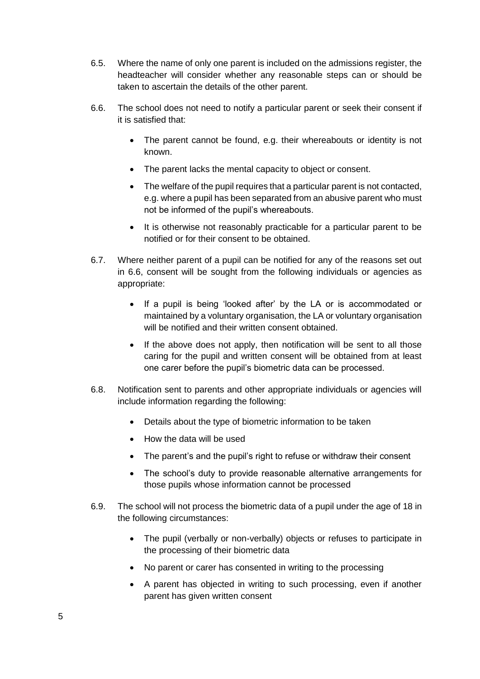- 6.5. Where the name of only one parent is included on the admissions register, the headteacher will consider whether any reasonable steps can or should be taken to ascertain the details of the other parent.
- 6.6. The school does not need to notify a particular parent or seek their consent if it is satisfied that:
	- The parent cannot be found, e.g. their whereabouts or identity is not known.
	- The parent lacks the mental capacity to object or consent.
	- The welfare of the pupil requires that a particular parent is not contacted, e.g. where a pupil has been separated from an abusive parent who must not be informed of the pupil's whereabouts.
	- It is otherwise not reasonably practicable for a particular parent to be notified or for their consent to be obtained.
- 6.7. Where neither parent of a pupil can be notified for any of the reasons set out in 6.6, consent will be sought from the following individuals or agencies as appropriate:
	- If a pupil is being 'looked after' by the LA or is accommodated or maintained by a voluntary organisation, the LA or voluntary organisation will be notified and their written consent obtained.
	- If the above does not apply, then notification will be sent to all those caring for the pupil and written consent will be obtained from at least one carer before the pupil's biometric data can be processed.
- 6.8. Notification sent to parents and other appropriate individuals or agencies will include information regarding the following:
	- Details about the type of biometric information to be taken
	- How the data will be used
	- The parent's and the pupil's right to refuse or withdraw their consent
	- The school's duty to provide reasonable alternative arrangements for those pupils whose information cannot be processed
- 6.9. The school will not process the biometric data of a pupil under the age of 18 in the following circumstances:
	- The pupil (verbally or non-verbally) objects or refuses to participate in the processing of their biometric data
	- No parent or carer has consented in writing to the processing
	- A parent has objected in writing to such processing, even if another parent has given written consent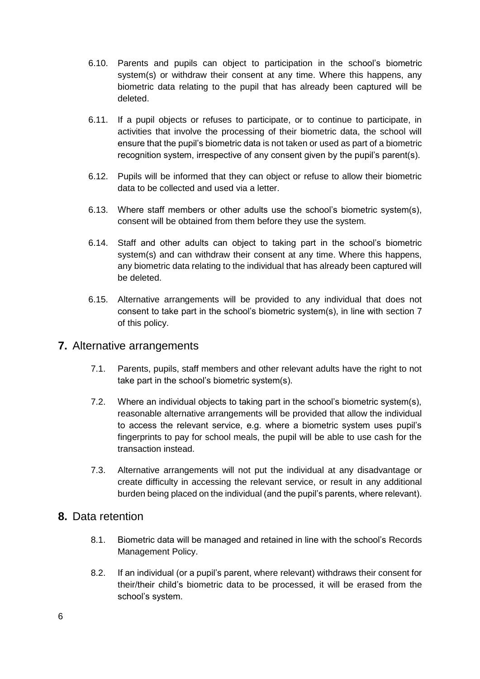- 6.10. Parents and pupils can object to participation in the school's biometric system(s) or withdraw their consent at any time. Where this happens, any biometric data relating to the pupil that has already been captured will be deleted.
- 6.11. If a pupil objects or refuses to participate, or to continue to participate, in activities that involve the processing of their biometric data, the school will ensure that the pupil's biometric data is not taken or used as part of a biometric recognition system, irrespective of any consent given by the pupil's parent(s).
- 6.12. Pupils will be informed that they can object or refuse to allow their biometric data to be collected and used via a letter.
- 6.13. Where staff members or other adults use the school's biometric system(s), consent will be obtained from them before they use the system.
- 6.14. Staff and other adults can object to taking part in the school's biometric system(s) and can withdraw their consent at any time. Where this happens, any biometric data relating to the individual that has already been captured will be deleted.
- 6.15. Alternative arrangements will be provided to any individual that does not consent to take part in the school's biometric system(s), in line with [section 7](#page-7-0) of this policy.

#### <span id="page-7-0"></span>**7.** Alternative arrangements

- 7.1. Parents, pupils, staff members and other relevant adults have the right to not take part in the school's biometric system(s).
- 7.2. Where an individual objects to taking part in the school's biometric system(s), reasonable alternative arrangements will be provided that allow the individual to access the relevant service, e.g. where a biometric system uses pupil's fingerprints to pay for school meals, the pupil will be able to use cash for the transaction instead.
- 7.3. Alternative arrangements will not put the individual at any disadvantage or create difficulty in accessing the relevant service, or result in any additional burden being placed on the individual (and the pupil's parents, where relevant).

#### <span id="page-7-1"></span>**8.** Data retention

- 8.1. Biometric data will be managed and retained in line with the school's Records Management Policy.
- 8.2. If an individual (or a pupil's parent, where relevant) withdraws their consent for their/their child's biometric data to be processed, it will be erased from the school's system.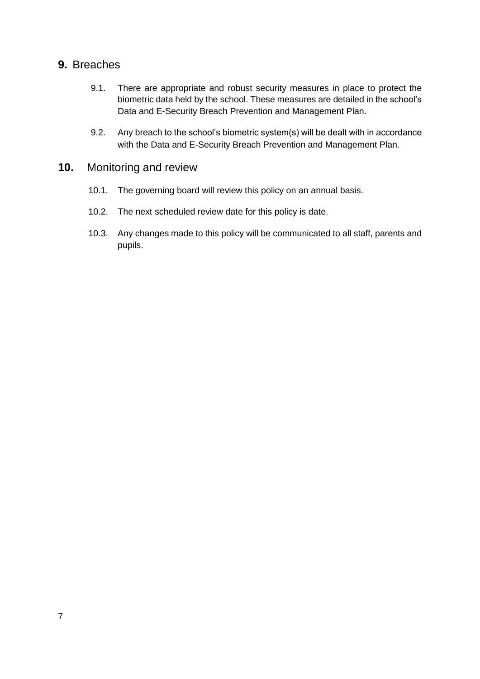#### <span id="page-8-0"></span>**9.** Breaches

- 9.1. There are appropriate and robust security measures in place to protect the biometric data held by the school. These measures are detailed in the school's Data and E-Security Breach Prevention and Management Plan.
- 9.2. Any breach to the school's biometric system(s) will be dealt with in accordance with the Data and E-Security Breach Prevention and Management Plan.

#### <span id="page-8-1"></span>**10.** Monitoring and review

- 10.1. The governing board will review this policy on an annual basis.
- 10.2. The next scheduled review date for this policy is date.
- 10.3. Any changes made to this policy will be communicated to all staff, parents and pupils.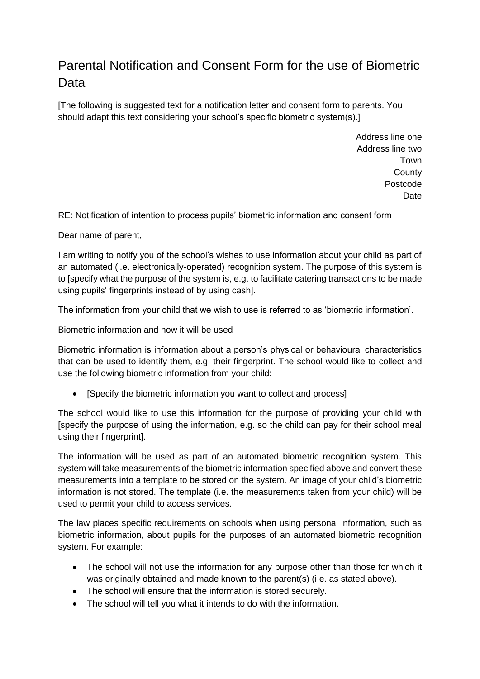### <span id="page-9-0"></span>Parental Notification and Consent Form for the use of Biometric Data

[The following is suggested text for a notification letter and consent form to parents. You should adapt this text considering your school's specific biometric system(s).]

> Address line one Address line two Town **County** Postcode **Date**

RE: Notification of intention to process pupils' biometric information and consent form

Dear name of parent,

I am writing to notify you of the school's wishes to use information about your child as part of an automated (i.e. electronically-operated) recognition system. The purpose of this system is to [specify what the purpose of the system is, e.g. to facilitate catering transactions to be made using pupils' fingerprints instead of by using cash].

The information from your child that we wish to use is referred to as 'biometric information'.

Biometric information and how it will be used

Biometric information is information about a person's physical or behavioural characteristics that can be used to identify them, e.g. their fingerprint. The school would like to collect and use the following biometric information from your child:

• [Specify the biometric information you want to collect and process]

The school would like to use this information for the purpose of providing your child with [specify the purpose of using the information, e.g. so the child can pay for their school meal using their fingerprint].

The information will be used as part of an automated biometric recognition system. This system will take measurements of the biometric information specified above and convert these measurements into a template to be stored on the system. An image of your child's biometric information is not stored. The template (i.e. the measurements taken from your child) will be used to permit your child to access services.

The law places specific requirements on schools when using personal information, such as biometric information, about pupils for the purposes of an automated biometric recognition system. For example:

- The school will not use the information for any purpose other than those for which it was originally obtained and made known to the parent(s) (i.e. as stated above).
- The school will ensure that the information is stored securely.
- The school will tell you what it intends to do with the information.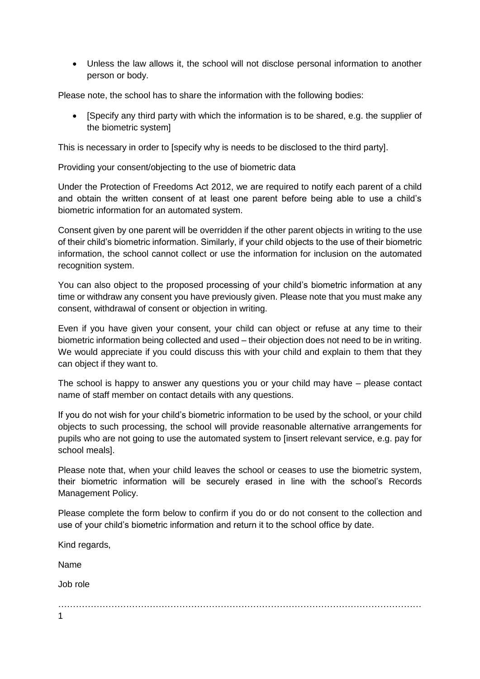Unless the law allows it, the school will not disclose personal information to another person or body.

Please note, the school has to share the information with the following bodies:

 [Specify any third party with which the information is to be shared, e.g. the supplier of the biometric system]

This is necessary in order to [specify why is needs to be disclosed to the third party].

Providing your consent/objecting to the use of biometric data

Under the Protection of Freedoms Act 2012, we are required to notify each parent of a child and obtain the written consent of at least one parent before being able to use a child's biometric information for an automated system.

Consent given by one parent will be overridden if the other parent objects in writing to the use of their child's biometric information. Similarly, if your child objects to the use of their biometric information, the school cannot collect or use the information for inclusion on the automated recognition system.

You can also object to the proposed processing of your child's biometric information at any time or withdraw any consent you have previously given. Please note that you must make any consent, withdrawal of consent or objection in writing.

Even if you have given your consent, your child can object or refuse at any time to their biometric information being collected and used – their objection does not need to be in writing. We would appreciate if you could discuss this with your child and explain to them that they can object if they want to.

The school is happy to answer any questions you or your child may have – please contact name of staff member on contact details with any questions.

If you do not wish for your child's biometric information to be used by the school, or your child objects to such processing, the school will provide reasonable alternative arrangements for pupils who are not going to use the automated system to [insert relevant service, e.g. pay for school meals].

Please note that, when your child leaves the school or ceases to use the biometric system, their biometric information will be securely erased in line with the school's Records Management Policy.

Please complete the form below to confirm if you do or do not consent to the collection and use of your child's biometric information and return it to the school office by date.

| Kind regards, |  |  |
|---------------|--|--|
| Name          |  |  |
| Job role      |  |  |
| .             |  |  |
| $\mathbf{1}$  |  |  |